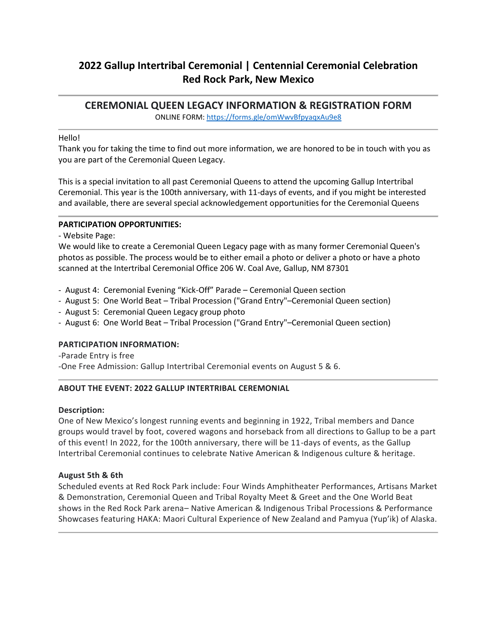# **2022 Gallup Intertribal Ceremonial | Centennial Ceremonial Celebration Red Rock Park, New Mexico**

**CEREMONIAL QUEEN LEGACY INFORMATION & REGISTRATION FORM** ONLINE FORM[: https://forms.gle/omWwvBfpyaqxAu9e8](https://forms.gle/omWwvBfpyaqxAu9e8)

## Hello!

Thank you for taking the time to find out more information, we are honored to be in touch with you as you are part of the Ceremonial Queen Legacy.

This is a special invitation to all past Ceremonial Queens to attend the upcoming Gallup Intertribal Ceremonial. This year is the 100th anniversary, with 11-days of events, and if you might be interested and available, there are several special acknowledgement opportunities for the Ceremonial Queens

## **PARTICIPATION OPPORTUNITIES:**

- Website Page:

We would like to create a Ceremonial Queen Legacy page with as many former Ceremonial Queen's photos as possible. The process would be to either email a photo or deliver a photo or have a photo scanned at the Intertribal Ceremonial Office 206 W. Coal Ave, Gallup, NM 87301

- August 4: Ceremonial Evening "Kick-Off" Parade – Ceremonial Queen section
- August 5: One World Beat Tribal Procession ("Grand Entry"–Ceremonial Queen section)
- August 5: Ceremonial Queen Legacy group photo
- August 6: One World Beat Tribal Procession ("Grand Entry"–Ceremonial Queen section)

### **PARTICIPATION INFORMATION:**

-Parade Entry is free -One Free Admission: Gallup Intertribal Ceremonial events on August 5 & 6.

# **ABOUT THE EVENT: 2022 GALLUP INTERTRIBAL CEREMONIAL**

### **Description:**

One of New Mexico's longest running events and beginning in 1922, Tribal members and Dance groups would travel by foot, covered wagons and horseback from all directions to Gallup to be a part of this event! In 2022, for the 100th anniversary, there will be 11-days of events, as the Gallup Intertribal Ceremonial continues to celebrate Native American & Indigenous culture & heritage.

### **August 5th & 6th**

Scheduled events at Red Rock Park include: Four Winds Amphitheater Performances, Artisans Market & Demonstration, Ceremonial Queen and Tribal Royalty Meet & Greet and the One World Beat shows in the Red Rock Park arena– Native American & Indigenous Tribal Processions & Performance Showcases featuring HAKA: Maori Cultural Experience of New Zealand and Pamyua (Yup'ik) of Alaska.